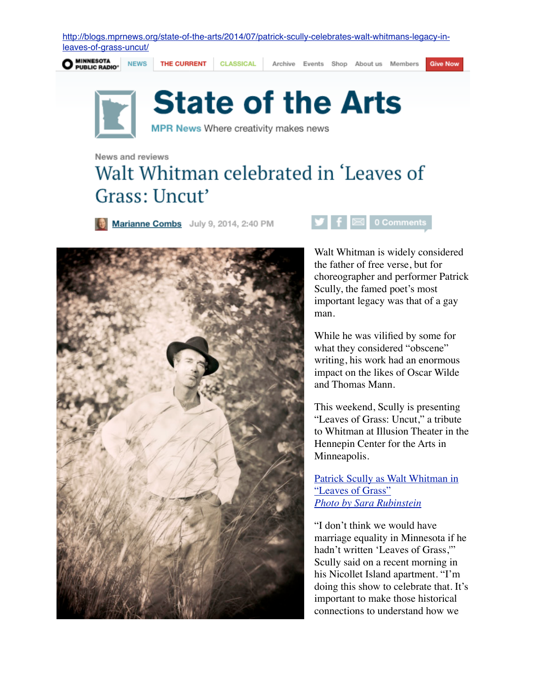[http://blogs.mprnews.org/state-of-the-arts/2014/07/patrick-scully-celebrates-walt-whitmans-legacy-in](http://blogs.mprnews.org/state-of-the-arts/2014/07/patrick-scully-celebrates-walt-whitmans-legacy-in-leaves-of-grass-uncut/)[leaves-of-grass-uncut/](http://blogs.mprnews.org/state-of-the-arts/2014/07/patrick-scully-celebrates-walt-whitmans-legacy-in-leaves-of-grass-uncut/)



THE CURRENT **NEWS** 

**CLASSICAL** 

Archive Events Shop About us Members

**Give Now** 



## **State of the Arts**

MPR News Where creativity makes news

News and reviews

## Walt Whitman celebrated in 'Leaves of Grass: Uncut'

Marianne Combs July 9, 2014, 2:40 PM





Walt Whitman is widely considered the father of free verse, but for choreographer and performer Patrick Scully, the famed poet's most important legacy was that of a gay man.

While he was vilified by some for what they considered "obscene" writing, his work had an enormous impact on the likes of Oscar Wilde and Thomas Mann.

This weekend, Scully is presenting "Leaves of Grass: Uncut," a tribute to Whitman at Illusion Theater in the Hennepin Center for the Arts in Minneapolis.

[Patrick Scully as Walt Whitman in](http://publicradio1.wpengine.netdna-cdn.com/state-of-the-arts/files/2014/07/PatrickasWhitman-copy.jpg)  ["Leaves of Grass"](http://publicradio1.wpengine.netdna-cdn.com/state-of-the-arts/files/2014/07/PatrickasWhitman-copy.jpg)  *[Photo by Sara Rubinstein](http://publicradio1.wpengine.netdna-cdn.com/state-of-the-arts/files/2014/07/PatrickasWhitman-copy.jpg)*

"I don't think we would have marriage equality in Minnesota if he hadn't written 'Leaves of Grass,'" Scully said on a recent morning in his Nicollet Island apartment. "I'm doing this show to celebrate that. It's important to make those historical connections to understand how we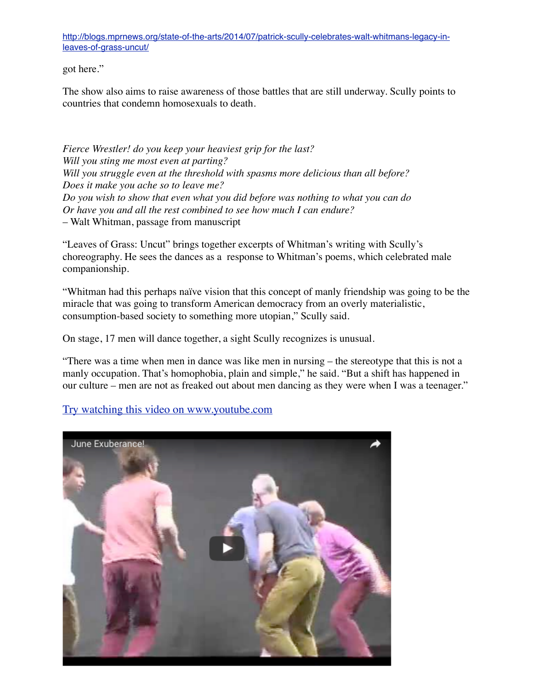[http://blogs.mprnews.org/state-of-the-arts/2014/07/patrick-scully-celebrates-walt-whitmans-legacy-in](http://blogs.mprnews.org/state-of-the-arts/2014/07/patrick-scully-celebrates-walt-whitmans-legacy-in-leaves-of-grass-uncut/)[leaves-of-grass-uncut/](http://blogs.mprnews.org/state-of-the-arts/2014/07/patrick-scully-celebrates-walt-whitmans-legacy-in-leaves-of-grass-uncut/)

got here."

The show also aims to raise awareness of those battles that are still underway. Scully points to countries that condemn homosexuals to death.

*Fierce Wrestler! do you keep your heaviest grip for the last? Will you sting me most even at parting? Will you struggle even at the threshold with spasms more delicious than all before? Does it make you ache so to leave me? Do you wish to show that even what you did before was nothing to what you can do Or have you and all the rest combined to see how much I can endure?* – Walt Whitman, passage from manuscript

"Leaves of Grass: Uncut" brings together excerpts of Whitman's writing with Scully's choreography. He sees the dances as a response to Whitman's poems, which celebrated male companionship.

"Whitman had this perhaps naïve vision that this concept of manly friendship was going to be the miracle that was going to transform American democracy from an overly materialistic, consumption-based society to something more utopian," Scully said.

On stage, 17 men will dance together, a sight Scully recognizes is unusual.

"There was a time when men in dance was like men in nursing – the stereotype that this is not a manly occupation. That's homophobia, plain and simple," he said. "But a shift has happened in our culture – men are not as freaked out about men dancing as they were when I was a teenager."

Try watching this video on www.youtube.com